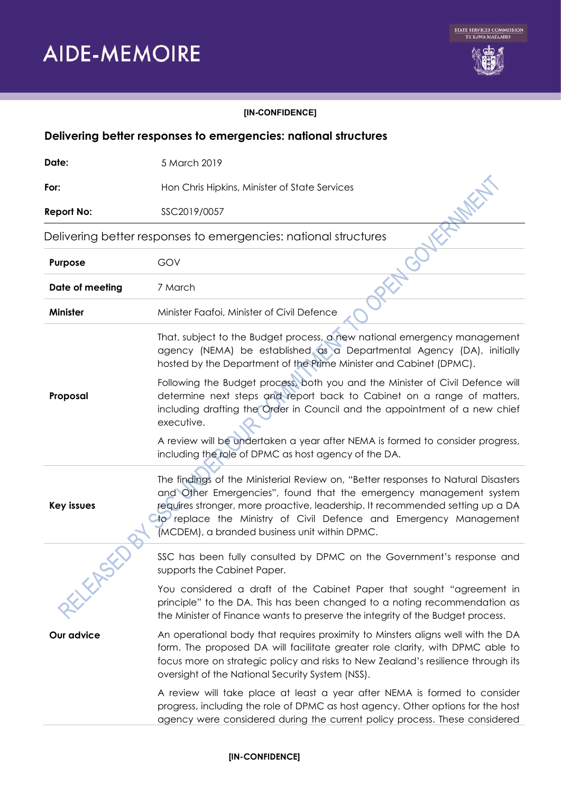

## **[IN-CONFIDENCE]**

| Delivering better responses to emergencies: national structures |                                                                                                                                                                                                                                                                                                                                                                |
|-----------------------------------------------------------------|----------------------------------------------------------------------------------------------------------------------------------------------------------------------------------------------------------------------------------------------------------------------------------------------------------------------------------------------------------------|
| Date:                                                           | 5 March 2019                                                                                                                                                                                                                                                                                                                                                   |
| For:                                                            | Hon Chris Hipkins, Minister of State Services                                                                                                                                                                                                                                                                                                                  |
| <b>Report No:</b>                                               | SSC2019/0057                                                                                                                                                                                                                                                                                                                                                   |
| Delivering better responses to emergencies: national structures |                                                                                                                                                                                                                                                                                                                                                                |
| Purpose                                                         | GOV                                                                                                                                                                                                                                                                                                                                                            |
| Date of meeting                                                 | 7 March                                                                                                                                                                                                                                                                                                                                                        |
| <b>Minister</b>                                                 | Minister Faafoi, Minister of Civil Defence                                                                                                                                                                                                                                                                                                                     |
|                                                                 | That, subject to the Budget process, a new national emergency management<br>agency (NEMA) be established as a Departmental Agency (DA), initially<br>hosted by the Department of the Prime Minister and Cabinet (DPMC).                                                                                                                                        |
| Proposal                                                        | Following the Budget process, both you and the Minister of Civil Defence will<br>determine next steps and report back to Cabinet on a range of matters,<br>including drafting the Order in Council and the appointment of a new chief<br>executive.                                                                                                            |
|                                                                 | A review will be undertaken a year after NEMA is formed to consider progress,<br>including the role of DPMC as host agency of the DA.                                                                                                                                                                                                                          |
| <b>Key issues</b>                                               | The findings of the Ministerial Review on, "Better responses to Natural Disasters<br>and Other Emergencies", found that the emergency management system<br>requires stronger, more proactive, leadership. It recommended setting up a DA<br>to replace the Ministry of Civil Defence and Emergency Management<br>(MCDEM), a branded business unit within DPMC. |
|                                                                 | SSC has been fully consulted by DPMC on the Government's response and<br>supports the Cabinet Paper.                                                                                                                                                                                                                                                           |
| <b>ELEVERITY</b>                                                | You considered a draft of the Cabinet Paper that sought "agreement in<br>principle" to the DA. This has been changed to a noting recommendation as<br>the Minister of Finance wants to preserve the integrity of the Budget process.                                                                                                                           |
| Our advice                                                      | An operational body that requires proximity to Minsters aligns well with the DA<br>form. The proposed DA will facilitate greater role clarity, with DPMC able to<br>focus more on strategic policy and risks to New Zealand's resilience through its<br>oversight of the National Security System (NSS).                                                       |
|                                                                 | A review will take place at least a year after NEMA is formed to consider<br>progress, including the role of DPMC as host agency. Other options for the host<br>agency were considered during the current policy process. These considered                                                                                                                     |

## **[IN-CONFIDENCE]**